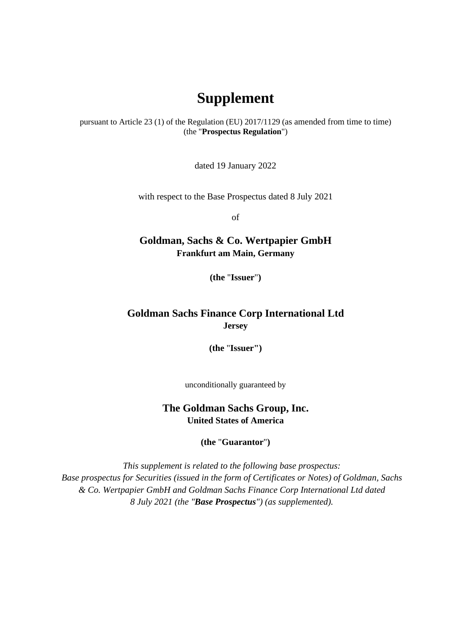## **Supplement**

pursuant to Article 23 (1) of the Regulation (EU) 2017/1129 (as amended from time to time) (the "**Prospectus Regulation**")

dated 19 January 2022

with respect to the Base Prospectus dated 8 July 2021

of

## **Goldman, Sachs & Co. Wertpapier GmbH Frankfurt am Main, Germany**

**(the** "**Issuer**"**)** 

## **Goldman Sachs Finance Corp International Ltd Jersey**

**(the** "**Issuer")** 

unconditionally guaranteed by

**The Goldman Sachs Group, Inc. United States of America** 

**(the** "**Guarantor**"**)** 

*This supplement is related to the following base prospectus: Base prospectus for Securities (issued in the form of Certificates or Notes) of Goldman, Sachs & Co. Wertpapier GmbH and Goldman Sachs Finance Corp International Ltd dated 8 July 2021 (the "Base Prospectus") (as supplemented).*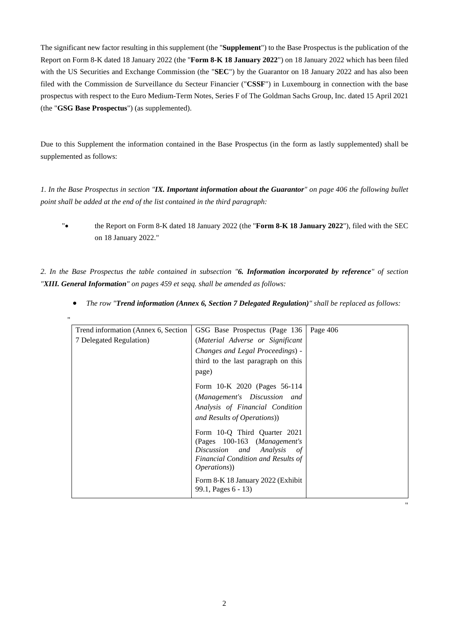The significant new factor resulting in this supplement (the "**Supplement**") to the Base Prospectus is the publication of the Report on Form 8-K dated 18 January 2022 (the "**Form 8-K 18 January 2022**") on 18 January 2022 which has been filed with the US Securities and Exchange Commission (the "**SEC**") by the Guarantor on 18 January 2022 and has also been filed with the Commission de Surveillance du Secteur Financier ("**CSSF**") in Luxembourg in connection with the base prospectus with respect to the Euro Medium-Term Notes, Series F of The Goldman Sachs Group, Inc. dated 15 April 2021 (the "**GSG Base Prospectus**") (as supplemented).

Due to this Supplement the information contained in the Base Prospectus (in the form as lastly supplemented) shall be supplemented as follows:

*1. In the Base Prospectus in section "IX. Important information about the Guarantor" on page 406 the following bullet point shall be added at the end of the list contained in the third paragraph:* 

" the Report on Form 8-K dated 18 January 2022 (the "**Form 8-K 18 January 2022**"), filed with the SEC on 18 January 2022."

*2. In the Base Prospectus the table contained in subsection "6. Information incorporated by reference" of section "XIII. General Information" on pages 459 et seqq. shall be amended as follows:* 

"

|  |  | • The row "Trend information (Annex 6, Section 7 Delegated Regulation)" shall be replaced as follows: |  |  |  |  |  |  |
|--|--|-------------------------------------------------------------------------------------------------------|--|--|--|--|--|--|
|--|--|-------------------------------------------------------------------------------------------------------|--|--|--|--|--|--|

| Trend information (Annex 6, Section | GSG Base Prospectus (Page 136                                                                                                                              | Page 406 |
|-------------------------------------|------------------------------------------------------------------------------------------------------------------------------------------------------------|----------|
| 7 Delegated Regulation)             | (Material Adverse or Significant                                                                                                                           |          |
|                                     | Changes and Legal Proceedings) -                                                                                                                           |          |
|                                     | third to the last paragraph on this                                                                                                                        |          |
|                                     | page)                                                                                                                                                      |          |
|                                     | Form 10-K 2020 (Pages 56-114                                                                                                                               |          |
|                                     | (Management's Discussion and                                                                                                                               |          |
|                                     | Analysis of Financial Condition                                                                                                                            |          |
|                                     | and Results of Operations)                                                                                                                                 |          |
|                                     | Form 10-Q Third Quarter 2021<br>(Pages 100-163 (Management's<br>Discussion and Analysis<br>of<br>Financial Condition and Results of<br><i>Operations</i> ) |          |
|                                     | Form 8-K 18 January 2022 (Exhibit<br>99.1, Pages 6 - 13)                                                                                                   |          |

"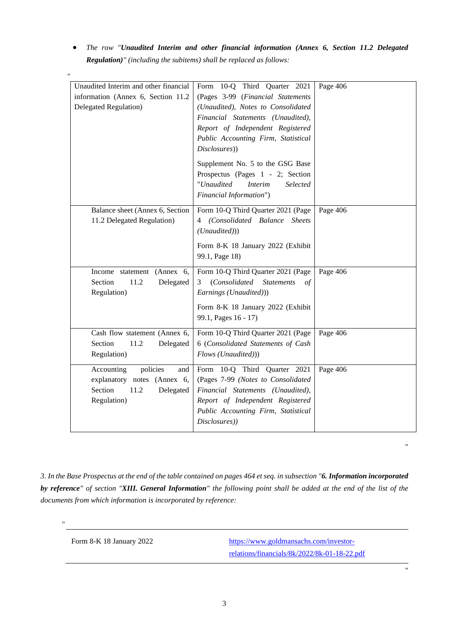*The row "Unaudited Interim and other financial information (Annex 6, Section 11.2 Delegated Regulation)" (including the subitems) shall be replaced as follows:*

| Unaudited Interim and other financial | Form 10-Q Third Quarter 2021                  | Page 406 |
|---------------------------------------|-----------------------------------------------|----------|
| information (Annex 6, Section 11.2)   | (Pages 3-99 (Financial Statements             |          |
| Delegated Regulation)                 | (Unaudited), Notes to Consolidated            |          |
|                                       | Financial Statements (Unaudited),             |          |
|                                       | Report of Independent Registered              |          |
|                                       | Public Accounting Firm, Statistical           |          |
|                                       | Disclosures))                                 |          |
|                                       | Supplement No. 5 to the GSG Base              |          |
|                                       | Prospectus (Pages 1 - 2; Section              |          |
|                                       | "Unaudited<br><i>Interim</i><br>Selected      |          |
|                                       | Financial Information")                       |          |
| Balance sheet (Annex 6, Section       | Form 10-Q Third Quarter 2021 (Page            | Page 406 |
| 11.2 Delegated Regulation)            | (Consolidated Balance Sheets<br>4             |          |
|                                       | (Unaudited))                                  |          |
|                                       | Form 8-K 18 January 2022 (Exhibit             |          |
|                                       | 99.1, Page 18)                                |          |
|                                       |                                               |          |
| Income statement (Annex 6,            | Form 10-Q Third Quarter 2021 (Page            | Page 406 |
| Section<br>11.2<br>Delegated          | (Consolidated<br><b>Statements</b><br>3<br>of |          |
| Regulation)                           | Earnings (Unaudited)))                        |          |
|                                       | Form 8-K 18 January 2022 (Exhibit             |          |
|                                       | 99.1, Pages 16 - 17)                          |          |
|                                       |                                               |          |
| Cash flow statement (Annex 6,         | Form 10-Q Third Quarter 2021 (Page            | Page 406 |
| Section<br>11.2<br>Delegated          | 6 (Consolidated Statements of Cash            |          |
| Regulation)                           | Flows (Unaudited)))                           |          |
| policies<br>Accounting<br>and         | Form 10-Q Third Quarter 2021                  | Page 406 |
| explanatory notes (Annex 6,           | (Pages 7-99 (Notes to Consolidated            |          |
| Section<br>11.2<br>Delegated          | Financial Statements (Unaudited),             |          |
| Regulation)                           | Report of Independent Registered              |          |
|                                       | Public Accounting Firm, Statistical           |          |
|                                       | Disclosures))                                 |          |
|                                       |                                               |          |

*3. In the Base Prospectus at the end of the table contained on pages 464 et seq. in subsection "6. Information incorporated by reference" of section "XIII. General Information" the following point shall be added at the end of the list of the documents from which information is incorporated by reference:* 

"

"

Form 8-K 18 January 2022 [https://www.goldmansachs.com/investor](https://www.goldmansachs.com/investor-relations/financials/8k/2022/8k-01-18-22.pdf)[relations/financials/8k/2022/8k-01-18-22.pdf](https://www.goldmansachs.com/investor-relations/financials/8k/2022/8k-01-18-22.pdf) "

"